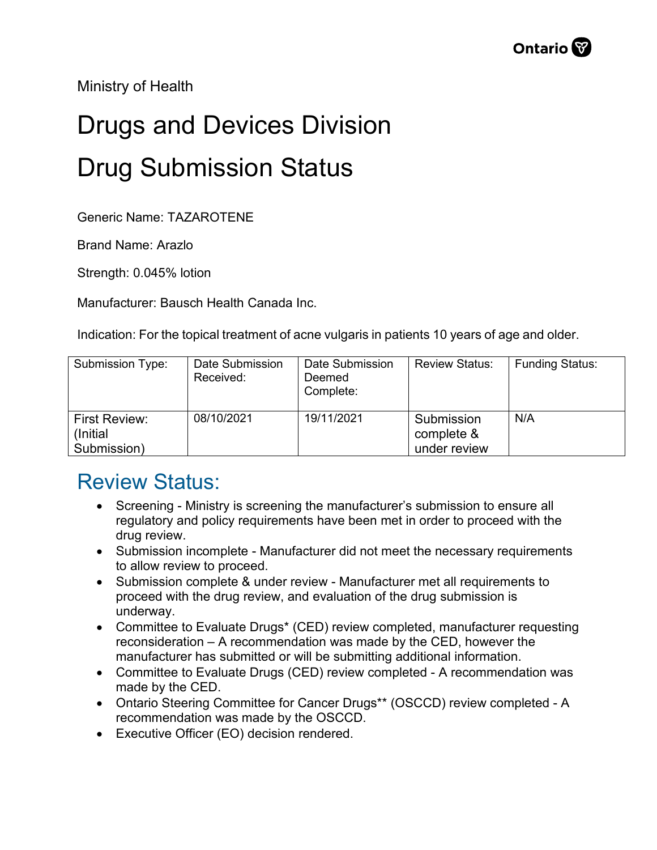Ministry of Health

## Drugs and Devices Division Drug Submission Status

Generic Name: TAZAROTENE

Brand Name: Arazlo

Strength: 0.045% lotion

Manufacturer: Bausch Health Canada Inc.

Indication: For the topical treatment of acne vulgaris in patients 10 years of age and older.

| Submission Type:                          | Date Submission<br>Received: | Date Submission<br>Deemed<br>Complete: | <b>Review Status:</b>                    | <b>Funding Status:</b> |
|-------------------------------------------|------------------------------|----------------------------------------|------------------------------------------|------------------------|
| First Review:<br>(Initial)<br>Submission) | 08/10/2021                   | 19/11/2021                             | Submission<br>complete &<br>under review | N/A                    |

## Review Status:

- Screening Ministry is screening the manufacturer's submission to ensure all regulatory and policy requirements have been met in order to proceed with the drug review.
- Submission incomplete Manufacturer did not meet the necessary requirements to allow review to proceed.
- Submission complete & under review Manufacturer met all requirements to proceed with the drug review, and evaluation of the drug submission is underway.
- Committee to Evaluate Drugs\* (CED) review completed, manufacturer requesting reconsideration – A recommendation was made by the CED, however the manufacturer has submitted or will be submitting additional information.
- Committee to Evaluate Drugs (CED) review completed A recommendation was made by the CED.
- Ontario Steering Committee for Cancer Drugs\*\* (OSCCD) review completed A recommendation was made by the OSCCD.
- Executive Officer (EO) decision rendered.